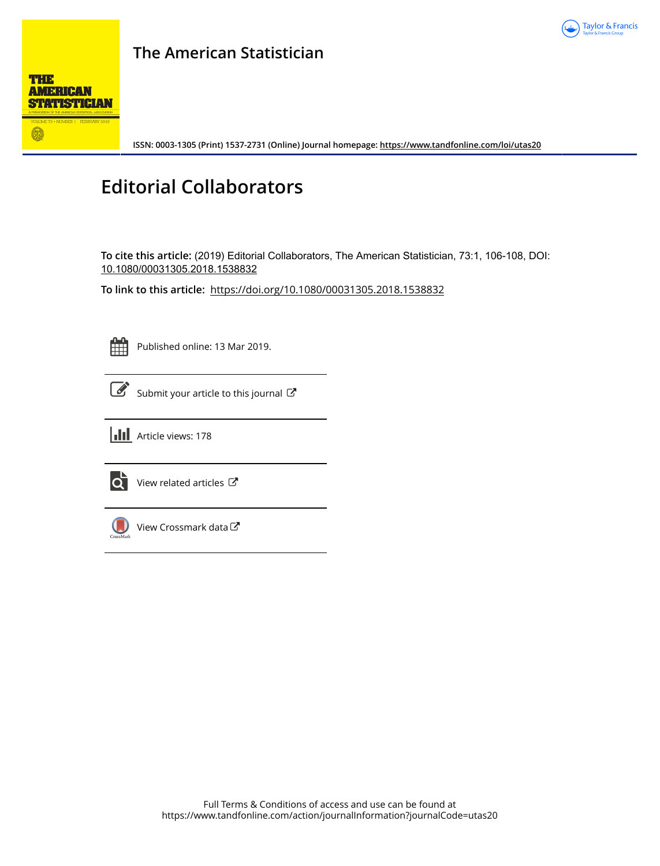

## **The American Statistician**



**ISSN: 0003-1305 (Print) 1537-2731 (Online) Journal homepage:<https://www.tandfonline.com/loi/utas20>**

## **Editorial Collaborators**

**To cite this article:** (2019) Editorial Collaborators, The American Statistician, 73:1, 106-108, DOI: [10.1080/00031305.2018.1538832](https://www.tandfonline.com/action/showCitFormats?doi=10.1080/00031305.2018.1538832)

**To link to this article:** <https://doi.org/10.1080/00031305.2018.1538832>



Published online: 13 Mar 2019.

[Submit your article to this journal](https://www.tandfonline.com/action/authorSubmission?journalCode=utas20&show=instructions)  $\mathbb{Z}$ 

**III** Article views: 178



 $\overrightarrow{Q}$  [View related articles](https://www.tandfonline.com/doi/mlt/10.1080/00031305.2018.1538832)  $\overrightarrow{C}$ 



 $\bigcirc$  [View Crossmark data](http://crossmark.crossref.org/dialog/?doi=10.1080/00031305.2018.1538832&domain=pdf&date_stamp=2019-03-13) $\mathbb{Z}$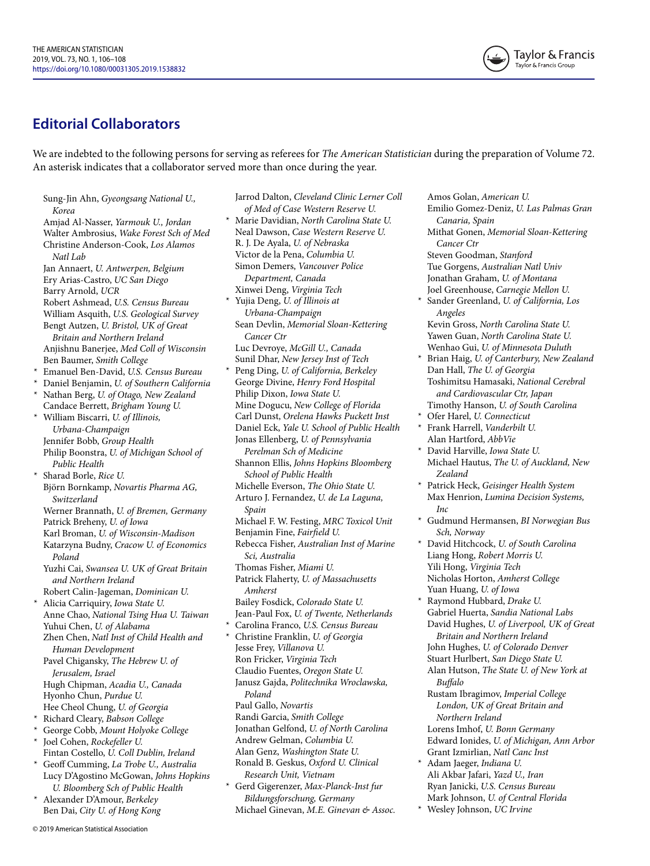

## **Editorial Collaborators**

We are indebted to the following persons for serving as referees for *The American Statistician* during the preparation of Volume 72. An asterisk indicates that a collaborator served more than once during the year.

Sung-Jin Ahn, *Gyeongsang National U., Korea* Amjad Al-Nasser, *Yarmouk U., Jordan* Walter Ambrosius, *Wake Forest Sch of Med* Christine Anderson-Cook, *Los Alamos Natl Lab* Jan Annaert, *U. Antwerpen, Belgium* Ery Arias-Castro, *UC San Diego* Barry Arnold, *UCR* Robert Ashmead, *U.S. Census Bureau* William Asquith, *U.S. Geological Survey* Bengt Autzen, *U. Bristol, UK of Great Britain and Northern Ireland* Anjishnu Banerjee, *Med Coll of Wisconsin* Ben Baumer, *Smith College* \* Emanuel Ben-David, *U.S. Census Bureau* \* Daniel Benjamin, *U. of Southern California* \* Nathan Berg, *U. of Otago, New Zealand* Candace Berrett, *Brigham Young U.* \* William Biscarri, *U. of Illinois, Urbana-Champaign* Jennifer Bobb, *Group Health* Philip Boonstra, *U. of Michigan School of Public Health* Sharad Borle, Rice U. Björn Bornkamp, *Novartis Pharma AG, Switzerland* Werner Brannath, *U. of Bremen, Germany* Patrick Breheny, *U. of Iowa* Karl Broman, *U. of Wisconsin-Madison* Katarzyna Budny, *Cracow U. of Economics Poland* Yuzhi Cai, *Swansea U. UK of Great Britain and Northern Ireland* Robert Calin-Jageman, *Dominican U.* \* Alicia Carriquiry, *Iowa State U.* Anne Chao, *National Tsing Hua U. Taiwan* Yuhui Chen, *U. of Alabama* Zhen Chen, *Natl Inst of Child Health and Human Development* Pavel Chigansky, *The Hebrew U. of Jerusalem, Israel* Hugh Chipman, *Acadia U., Canada* Hyonho Chun, *Purdue U.* Hee Cheol Chung, *U. of Georgia* \* Richard Cleary, *Babson College* \* George Cobb, *Mount Holyoke College* \* Joel Cohen, *Rockefeller U.* Fintan Costello, *U. Coll Dublin, Ireland* \* Geoff Cumming, *La Trobe U., Australia* Lucy D'Agostino McGowan, *Johns Hopkins U. Bloomberg Sch of Public Health* \* Alexander D'Amour, *Berkeley*

Ben Dai, *City U. of Hong Kong*

© 2019 American Statistical Association

Jarrod Dalton, *Cleveland Clinic Lerner Coll of Med of Case Western Reserve U.* \* Marie Davidian, *North Carolina State U.* Neal Dawson, *Case Western Reserve U.* R. J. De Ayala, *U. of Nebraska* Victor de la Pena, *Columbia U.* Simon Demers, *Vancouver Police Department, Canada* Xinwei Deng, *Virginia Tech* \* Yujia Deng, *U. of Illinois at Urbana-Champaign* Sean Devlin, *Memorial Sloan-Kettering Cancer Ctr* Luc Devroye, *McGill U., Canada* Sunil Dhar, *New Jersey Inst of Tech* \* Peng Ding, *U. of California, Berkeley* George Divine, *Henry Ford Hospital* Philip Dixon, *Iowa State U.* Mine Dogucu, *New College of Florida* Carl Dunst, *Orelena Hawks Puckett Inst* Daniel Eck, *Yale U. School of Public Health* Jonas Ellenberg, *U. of Pennsylvania Perelman Sch of Medicine* Shannon Ellis, *Johns Hopkins Bloomberg School of Public Health* Michelle Everson, *The Ohio State U.* Arturo J. Fernandez, *U. de La Laguna, Spain* Michael F. W. Festing, *MRC Toxicol Unit* Benjamin Fine, *Fairfield U.* Rebecca Fisher, *Australian Inst of Marine Sci, Australia* Thomas Fisher, *Miami U.* Patrick Flaherty, *U. of Massachusetts Amherst* Bailey Fosdick, *Colorado State U.* Jean-Paul Fox, *U. of Twente, Netherlands* \* Carolina Franco, *U.S. Census Bureau* \* Christine Franklin, *U. of Georgia* Jesse Frey, *Villanova U.* Ron Fricker, *Virginia Tech* Claudio Fuentes, *Oregon State U.* Janusz Gajda, *Politechnika Wroclawska, Poland* Paul Gallo, *Novartis* Randi Garcia, *Smith College* Jonathan Gelfond, *U. of North Carolina* Andrew Gelman, *Columbia U.* Alan Genz, *Washington State U.* Ronald B. Geskus, *Oxford U. Clinical Research Unit, Vietnam* \* Gerd Gigerenzer, *Max-Planck-Inst fur Bildungsforschung, Germany* Michael Ginevan, *M.E. Ginevan & Assoc.*

Amos Golan, *American U.* Emilio Gomez-Deniz, *U. Las Palmas Gran Canaria, Spain* Mithat Gonen, *Memorial Sloan-Kettering Cancer Ctr* Steven Goodman, *Stanford* Tue Gorgens, *Australian Natl Univ* Jonathan Graham, *U. of Montana* Joel Greenhouse, *Carnegie Mellon U.* Sander Greenland, *U. of California*, Los *Angeles* Kevin Gross, *North Carolina State U.* Yawen Guan, *North Carolina State U.* Wenhao Gui, *U. of Minnesota Duluth* \* Brian Haig, *U. of Canterbury, New Zealand* Dan Hall, *The U. of Georgia* Toshimitsu Hamasaki, *National Cerebral and Cardiovascular Ctr, Japan* Timothy Hanson, *U. of South Carolina* Ofer Harel, *U. Connecticut* \* Frank Harrell, *Vanderbilt U.* Alan Hartford, *AbbVie* \* David Harville, *Iowa State U.* Michael Hautus, *The U. of Auckland, New Zealand* \* Patrick Heck, *Geisinger Health System* Max Henrion, *Lumina Decision Systems, Inc* \* Gudmund Hermansen, *BI Norwegian Bus Sch, Norway* \* David Hitchcock, *U. of South Carolina* Liang Hong, *Robert Morris U.* Yili Hong, *Virginia Tech* Nicholas Horton, *Amherst College* Yuan Huang, *U. of Iowa* \* Raymond Hubbard, *Drake U.* Gabriel Huerta, *Sandia National Labs* David Hughes, *U. of Liverpool, UK of Great Britain and Northern Ireland* John Hughes, *U. of Colorado Denver* Stuart Hurlbert, *San Diego State U.* Alan Hutson, *The State U. of New York at Buffalo* Rustam Ibragimov, *Imperial College London, UK of Great Britain and Northern Ireland* Lorens Imhof, *U. Bonn Germany* Edward Ionides, *U. of Michigan, Ann Arbor* Grant Izmirlian, *Natl Canc Inst* \* Adam Jaeger, *Indiana U.* Ali Akbar Jafari, *Yazd U., Iran* Ryan Janicki, *U.S. Census Bureau*

Mark Johnson, *U. of Central Florida* \* Wesley Johnson, *UC Irvine*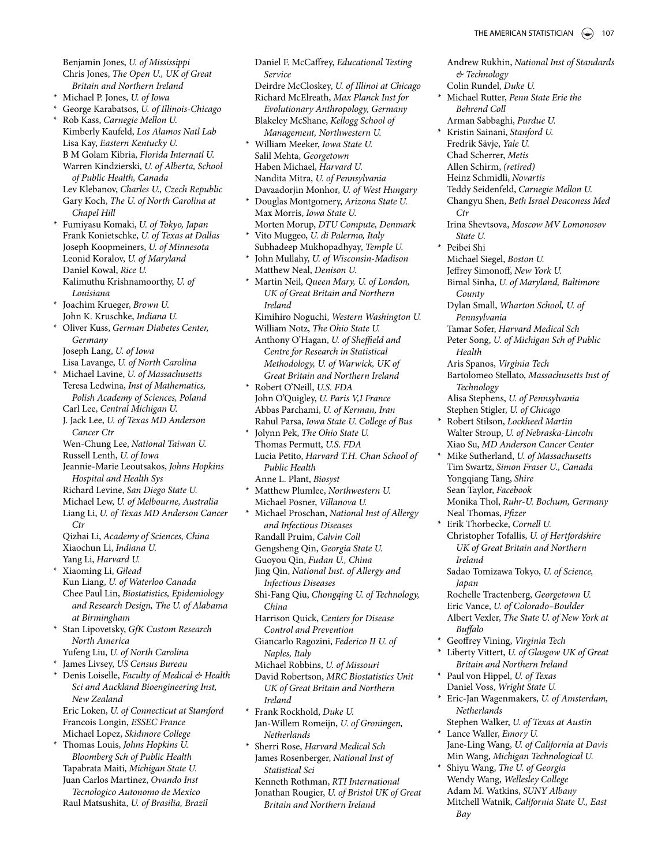Andrew Rukhin, *National Inst of Standards*

Benjamin Jones, *U. of Mississippi* Chris Jones, *The Open U., UK of Great Britain and Northern Ireland*

- \* Michael P. Jones, *U. of Iowa*
- \* George Karabatsos, *U. of Illinois-Chicago*

\* Rob Kass, *Carnegie Mellon U.* Kimberly Kaufeld, *Los Alamos Natl Lab* Lisa Kay, *Eastern Kentucky U.* B M Golam Kibria, *Florida Internatl U.* Warren Kindzierski, *U. of Alberta, School of Public Health, Canada* Lev Klebanov, *Charles U., Czech Republic* Gary Koch, *The U. of North Carolina at Chapel Hill*

\* Fumiyasu Komaki, *U. of Tokyo, Japan* Frank Konietschke, *U. of Texas at Dallas* Joseph Koopmeiners, *U. of Minnesota* Leonid Koralov, *U. of Maryland* Daniel Kowal, *Rice U.* Kalimuthu Krishnamoorthy, *U. of Louisiana*

\* Joachim Krueger, *Brown U.* John K. Kruschke, *Indiana U.*

\* Oliver Kuss, *German Diabetes Center, Germany* Joseph Lang, *U. of Iowa*

Lisa Lavange, *U. of North Carolina*

\* Michael Lavine, *U. of Massachusetts* Teresa Ledwina, *Inst of Mathematics, Polish Academy of Sciences, Poland*

Carl Lee, *Central Michigan U.* J. Jack Lee, *U. of Texas MD Anderson Cancer Ctr*

Wen-Chung Lee, *National Taiwan U.* Russell Lenth, *U. of Iowa*

Jeannie-Marie Leoutsakos, *Johns Hopkins Hospital and Health Sys*

Richard Levine, *San Diego State U.*

Michael Lew, *U. of Melbourne, Australia*

Liang Li, *U. of Texas MD Anderson Cancer Ctr*

Qizhai Li, *Academy of Sciences, China* Xiaochun Li, *Indiana U.*

Yang Li, *Harvard U.* \* Xiaoming Li, *Gilead* Kun Liang, *U. of Waterloo Canada* Chee Paul Lin, *Biostatistics, Epidemiology and Research Design, The U. of Alabama at Birmingham*

\* Stan Lipovetsky, *GfK Custom Research North America*

Yufeng Liu, *U. of North Carolina*

\* James Livsey, *US Census Bureau*

\* Denis Loiselle, *Faculty of Medical & Health Sci and Auckland Bioengineering Inst, New Zealand* Eric Loken, *U. of Connecticut at Stamford* Francois Longin, *ESSEC France* Michael Lopez, *Skidmore College*

\* Thomas Louis, *Johns Hopkins U. Bloomberg Sch of Public Health* Tapabrata Maiti, *Michigan State U.*

Juan Carlos Martinez, *Ovando Inst Tecnologico Autonomo de Mexico* Raul Matsushita, *U. of Brasilia, Brazil* Daniel F. McCaffrey, *Educational Testing Service*

Deirdre McCloskey, *U. of Illinoi at Chicago* Richard McElreath, *Max Planck Inst for Evolutionary Anthropology, Germany* Blakeley McShane, *Kellogg School of Management, Northwestern U.*

\* William Meeker, *Iowa State U.* Salil Mehta, *Georgetown* Haben Michael, *Harvard U.* Nandita Mitra, *U. of Pennsylvania* Davaadorjin Monhor, *U. of West Hungary*

\* Douglas Montgomery, *Arizona State U.* Max Morris, *Iowa State U.* Morten Morup, *DTU Compute, Denmark*

\* Vito Muggeo, *U. di Palermo, Italy* Subhadeep Mukhopadhyay, *Temple U.*

\* John Mullahy, *U. of Wisconsin-Madison* Matthew Neal, *Denison U.*

\* Martin Neil, *Queen Mary, U. of London, UK of Great Britain and Northern Ireland* Kimihiro Noguchi, *Western Washington U.*

William Notz, *The Ohio State U.* Anthony O'Hagan, *U. of Sheffield and Centre for Research in Statistical Methodology, U. of Warwick, UK of Great Britain and Northern Ireland*

\* Robert O'Neill, *U.S. FDA* John O'Quigley, *U. Paris V,I France* Abbas Parchami, *U. of Kerman, Iran* Rahul Parsa, *Iowa State U. College of Bus*

\* Jolynn Pek, *The Ohio State U.* Thomas Permutt, *U.S. FDA* Lucia Petito, *Harvard T.H. Chan School of Public Health*

Anne L. Plant, *Biosyst* \* Matthew Plumlee, *Northwestern U.* Michael Posner, *Villanova U.*

\* Michael Proschan, *National Inst of Allergy and Infectious Diseases* Randall Pruim, *Calvin Coll* Gengsheng Qin, *Georgia State U.* Guoyou Qin, *Fudan U., China* Jing Qin, *National Inst. of Allergy and Infectious Diseases* Shi-Fang Qiu, *Chongqing U. of Technology,*

*China* Harrison Quick, *Centers for Disease*

*Control and Prevention* Giancarlo Ragozini, *Federico II U. of*

*Naples, Italy*

Michael Robbins, *U. of Missouri*

David Robertson, *MRC Biostatistics Unit UK of Great Britain and Northern Ireland*

\* Frank Rockhold, *Duke U.* Jan-Willem Romeijn, *U. of Groningen, Netherlands*

\* Sherri Rose, *Harvard Medical Sch* James Rosenberger, *National Inst of Statistical Sci*

Kenneth Rothman, *RTI International* Jonathan Rougier, *U. of Bristol UK of Great Britain and Northern Ireland*

*& Technology* Colin Rundel, *Duke U.* \* Michael Rutter, *Penn State Erie the Behrend Coll* Arman Sabbaghi, *Purdue U.* \* Kristin Sainani, *Stanford U.* Fredrik Sävje, *Yale U.* Chad Scherrer, *Metis* Allen Schirm, *(retired)* Heinz Schmidli, *Novartis* Teddy Seidenfeld, *Carnegie Mellon U.* Changyu Shen, *Beth Israel Deaconess Med Ctr* Irina Shevtsova, *Moscow MV Lomonosov State U.* \* Peibei Shi Michael Siegel, *Boston U.* Jeffrey Simonoff, *New York U.* Bimal Sinha, *U. of Maryland, Baltimore County* Dylan Small, *Wharton School, U. of Pennsylvania* Tamar Sofer, *Harvard Medical Sch*  Peter Song, *U. of Michigan Sch of Public Health* Aris Spanos, *Virginia Tech* Bartolomeo Stellato, *Massachusetts Inst of Technology* Alisa Stephens, *U. of Pennsylvania* Stephen Stigler, *U. of Chicago* \* Robert Stilson, *Lockheed Martin* Walter Stroup, *U. of Nebraska-Lincoln* Xiao Su, *MD Anderson Cancer Center* \* Mike Sutherland, *U. of Massachusetts*

Tim Swartz, *Simon Fraser U., Canada* Yongqiang Tang, *Shire* Sean Taylor, *Facebook* Monika Thol, *Ruhr-U. Bochum, Germany* Neal Thomas, *Pfizer*

Erik Thorbecke, Cornell U. Christopher Tofallis, *U. of Hertfordshire UK of Great Britain and Northern Ireland*

Sadao Tomizawa Tokyo, *U. of Science, Japan*

Rochelle Tractenberg, *Georgetown U.* Eric Vance, *U. of Colorado–Boulder* Albert Vexler, *The State U. of New York at Buffalo*

- \* Geoffrey Vining, *Virginia Tech*
- \* Liberty Vittert, *U. of Glasgow UK of Great Britain and Northern Ireland*
- \* Paul von Hippel, *U. of Texas* Daniel Voss, *Wright State U.*

\* Eric-Jan Wagenmakers, *U. of Amsterdam, Netherlands*

Stephen Walker, *U. of Texas at Austin* Lance Waller, *Emory U.* Jane-Ling Wang, *U. of California at Davis* Min Wang, *Michigan Technological U.*

\* Shiyu Wang, *The U. of Georgia* Wendy Wang, *Wellesley College* Adam M. Watkins, *SUNY Albany* Mitchell Watnik, *California State U., East Bay*